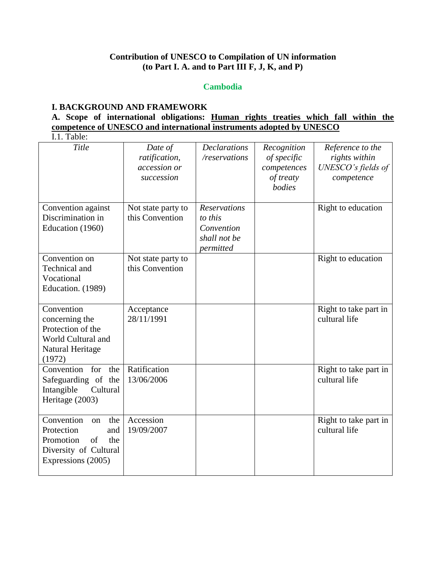## **Contribution of UNESCO to Compilation of UN information (to Part I. A. and to Part III F, J, K, and P)**

### **Cambodia**

### **I. BACKGROUND AND FRAMEWORK**

# **A. Scope of international obligations: Human rights treaties which fall within the competence of UNESCO and international instruments adopted by UNESCO**

 $I.1$  Table:

| 1.1. 1 aviv.                                                                                                          |                                                        |                                                                    |                                                                  |                                                                       |
|-----------------------------------------------------------------------------------------------------------------------|--------------------------------------------------------|--------------------------------------------------------------------|------------------------------------------------------------------|-----------------------------------------------------------------------|
| Title                                                                                                                 | Date of<br>ratification,<br>accession or<br>succession | <b>Declarations</b><br>/reservations                               | Recognition<br>of specific<br>competences<br>of treaty<br>bodies | Reference to the<br>rights within<br>UNESCO's fields of<br>competence |
| Convention against<br>Discrimination in<br>Education (1960)                                                           | Not state party to<br>this Convention                  | Reservations<br>to this<br>Convention<br>shall not be<br>permitted |                                                                  | Right to education                                                    |
| Convention on<br>Technical and<br>Vocational<br>Education. (1989)                                                     | Not state party to<br>this Convention                  |                                                                    |                                                                  | Right to education                                                    |
| Convention<br>concerning the<br>Protection of the<br>World Cultural and<br>Natural Heritage<br>(1972)                 | Acceptance<br>28/11/1991                               |                                                                    |                                                                  | Right to take part in<br>cultural life                                |
| Convention<br>for<br>the<br>Safeguarding of the<br>Intangible<br>Cultural<br>Heritage (2003)                          | Ratification<br>13/06/2006                             |                                                                    |                                                                  | Right to take part in<br>cultural life                                |
| Convention<br>the<br>on<br>Protection<br>and<br>Promotion<br>of<br>the<br>Diversity of Cultural<br>Expressions (2005) | Accession<br>19/09/2007                                |                                                                    |                                                                  | Right to take part in<br>cultural life                                |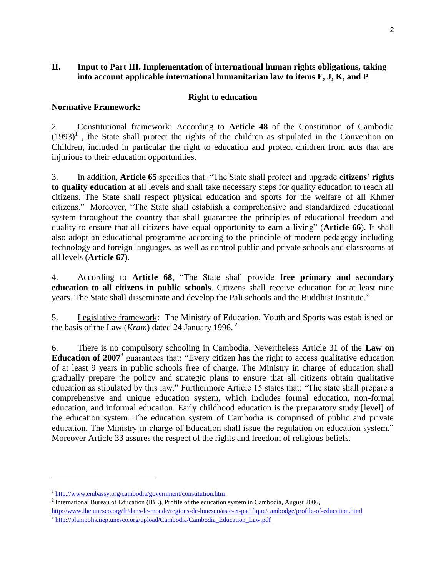### **II. Input to Part III. Implementation of international human rights obligations, taking into account applicable international humanitarian law to items F, J, K, and P**

#### **Right to education**

2. Constitutional framework: According to **Article 48** of the Constitution of Cambodia  $(1993)^{1}$ , the State shall protect the rights of the children as stipulated in the Convention on Children, included in particular the right to education and protect children from acts that are injurious to their education opportunities.

3. In addition, **Article 65** specifies that: "The State shall protect and upgrade **citizens' rights to quality education** at all levels and shall take necessary steps for quality education to reach all citizens. The State shall respect physical education and sports for the welfare of all Khmer citizens." Moreover, "The State shall establish a comprehensive and standardized educational system throughout the country that shall guarantee the principles of educational freedom and quality to ensure that all citizens have equal opportunity to earn a living" (**Article 66**). It shall also adopt an educational programme according to the principle of modern pedagogy including technology and foreign languages, as well as control public and private schools and classrooms at all levels (**Article 67**).

4. According to **Article 68**, "The State shall provide **free primary and secondary education to all citizens in public schools**. Citizens shall receive education for at least nine years. The State shall disseminate and develop the Pali schools and the Buddhist Institute."

5. Legislative framework: The Ministry of Education, Youth and Sports was established on the basis of the Law (*Kram*) dated 24 January 1996. <sup>2</sup>

6. There is no compulsory schooling in Cambodia. Nevertheless Article 31 of the **Law on Education of 2007**<sup>3</sup> guarantees that: "Every citizen has the right to access qualitative education of at least 9 years in public schools free of charge. The Ministry in charge of education shall gradually prepare the policy and strategic plans to ensure that all citizens obtain qualitative education as stipulated by this law." Furthermore Article 15 states that: "The state shall prepare a comprehensive and unique education system, which includes formal education, non-formal education, and informal education. Early childhood education is the preparatory study [level] of the education system. The education system of Cambodia is comprised of public and private education. The Ministry in charge of Education shall issue the regulation on education system." Moreover Article 33 assures the respect of the rights and freedom of religious beliefs.

l

**Normative Framework:**

<sup>&</sup>lt;sup>1</sup> <http://www.embassy.org/cambodia/government/constitution.htm>

<sup>&</sup>lt;sup>2</sup> International Bureau of Education (IBE), Profile of the education system in Cambodia, August 2006,

<http://www.ibe.unesco.org/fr/dans-le-monde/regions-de-lunesco/asie-et-pacifique/cambodge/profile-of-education.html>

<sup>&</sup>lt;sup>3</sup> [http://planipolis.iiep.unesco.org/upload/Cambodia/Cambodia\\_Education\\_Law.pdf](http://planipolis.iiep.unesco.org/upload/Cambodia/Cambodia_Education_Law.pdf)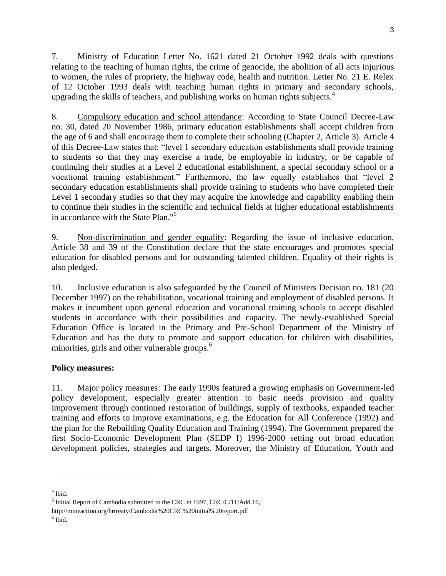7. Ministry of Education Letter No. 1621 dated 21 October 1992 deals with questions relating to the teaching of human rights, the crime of genocide, the abolition of all acts injurious to women, the rules of propriety, the highway code, health and nutrition. Letter No. 21 E. Relex of 12 October 1993 deals with teaching human rights in primary and secondary schools, upgrading the skills of teachers, and publishing works on human rights subjects. $4$ 

8. Compulsory education and school attendance: According to State Council Decree-Law no. 30, dated 20 November 1986, primary education establishments shall accept children from the age of 6 and shall encourage them to complete their schooling (Chapter 2, Article 3). Article 4 of this Decree-Law states that: "level 1 secondary education establishments shall provide training to students so that they may exercise a trade, be employable in industry, or be capable of continuing their studies at a Level 2 educational establishment, a special secondary school or a vocational training establishment." Furthermore, the law equally establishes that "level 2 secondary education establishments shall provide training to students who have completed their Level 1 secondary studies so that they may acquire the knowledge and capability enabling them to continue their studies in the scientific and technical fields at higher educational establishments in accordance with the State Plan."<sup>5</sup>

9. Non-discrimination and gender equality: Regarding the issue of inclusive education, Article 38 and 39 of the Constitution declare that the state encourages and promotes special education for disabled persons and for outstanding talented children. Equality of their rights is also pledged.

10. Inclusive education is also safeguarded by the Council of Ministers Decision no. 181 (20 December 1997) on the rehabilitation, vocational training and employment of disabled persons. It makes it incumbent upon general education and vocational training schools to accept disabled students in accordance with their possibilities and capacity. The newly-established Special Education Office is located in the Primary and Pre-School Department of the Ministry of Education and has the duty to promote and support education for children with disabilities, minorities, girls and other vulnerable groups. $<sup>6</sup>$ </sup>

## **Policy measures:**

11. Major policy measures: The early 1990s featured a growing emphasis on Government-led policy development, especially greater attention to basic needs provision and quality improvement through continued restoration of buildings, supply of textbooks, expanded teacher training and efforts to improve examinations, e.g. the Education for All Conference (1992) and the plan for the Rebuilding Quality Education and Training (1994). The Government prepared the first Socio-Economic Development Plan (SEDP I) 1996-2000 setting out broad education development policies, strategies and targets. Moreover, the Ministry of Education, Youth and

l

6 Ibid.

<sup>4</sup> Ibid.

 $<sup>5</sup>$  Initial Report of Cambodia submitted to the CRC in 1997, CRC/C/11/Add.16,</sup>

http://mineaction.org/hrtreaty/Cambodia%20CRC%20initial%20report.pdf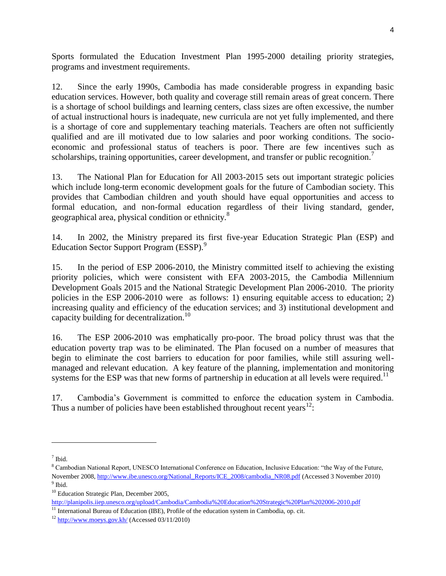Sports formulated the Education Investment Plan 1995-2000 detailing priority strategies, programs and investment requirements.

12. Since the early 1990s, Cambodia has made considerable progress in expanding basic education services. However, both quality and coverage still remain areas of great concern. There is a shortage of school buildings and learning centers, class sizes are often excessive, the number of actual instructional hours is inadequate, new curricula are not yet fully implemented, and there is a shortage of core and supplementary teaching materials. Teachers are often not sufficiently qualified and are ill motivated due to low salaries and poor working conditions. The socioeconomic and professional status of teachers is poor. There are few incentives such as scholarships, training opportunities, career development, and transfer or public recognition.<sup>7</sup>

13. The National Plan for Education for All 2003-2015 sets out important strategic policies which include long-term economic development goals for the future of Cambodian society. This provides that Cambodian children and youth should have equal opportunities and access to formal education, and non-formal education regardless of their living standard, gender, geographical area, physical condition or ethnicity.<sup>8</sup>

14. In 2002, the Ministry prepared its first five-year Education Strategic Plan (ESP) and Education Sector Support Program (ESSP).<sup>9</sup>

15. In the period of ESP 2006-2010, the Ministry committed itself to achieving the existing priority policies, which were consistent with EFA 2003-2015, the Cambodia Millennium Development Goals 2015 and the National Strategic Development Plan 2006-2010. The priority policies in the ESP 2006-2010 were as follows: 1) ensuring equitable access to education; 2) increasing quality and efficiency of the education services; and 3) institutional development and capacity building for decentralization.<sup>10</sup>

16. The ESP 2006-2010 was emphatically pro-poor. The broad policy thrust was that the education poverty trap was to be eliminated. The Plan focused on a number of measures that begin to eliminate the cost barriers to education for poor families, while still assuring wellmanaged and relevant education. A key feature of the planning, implementation and monitoring systems for the ESP was that new forms of partnership in education at all levels were required.<sup>11</sup>

17. Cambodia's Government is committed to enforce the education system in Cambodia. Thus a number of policies have been established throughout recent years<sup>12</sup>:

 $\overline{\phantom{a}}$ 

<sup>7</sup> Ibid.

<sup>8</sup> Cambodian National Report, UNESCO International Conference on Education, Inclusive Education: "the Way of the Future, November 2008[, http://www.ibe.unesco.org/National\\_Reports/ICE\\_2008/cambodia\\_NR08.pdf](http://www.ibe.unesco.org/National_Reports/ICE_2008/cambodia_NR08.pdf) (Accessed 3 November 2010) <sup>9</sup> Ibid.

<sup>&</sup>lt;sup>10</sup> Education Strategic Plan, December 2005,

<http://planipolis.iiep.unesco.org/upload/Cambodia/Cambodia%20Education%20Strategic%20Plan%202006-2010.pdf>

<sup>&</sup>lt;sup>11</sup> International Bureau of Education (IBE), Profile of the education system in Cambodia, op. cit.

 $12$  <http://www.moeys.gov.kh/> (Accessed 03/11/2010)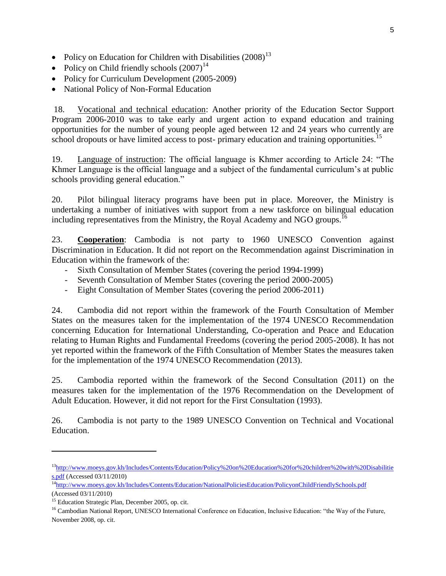- Policy on Education for Children with Disabilities  $(2008)^{13}$
- Policy on Child friendly schools  $(2007)^{14}$
- Policy for Curriculum Development (2005-2009)
- National Policy of Non-Formal Education

18. Vocational and technical education: Another priority of the Education Sector Support Program 2006-2010 was to take early and urgent action to expand education and training opportunities for the number of young people aged between 12 and 24 years who currently are school dropouts or have limited access to post- primary education and training opportunities.<sup>15</sup>

19. Language of instruction: The official language is Khmer according to Article 24: "The Khmer Language is the official language and a subject of the fundamental curriculum's at public schools providing general education."

20. Pilot bilingual literacy programs have been put in place. Moreover, the Ministry is undertaking a number of initiatives with support from a new taskforce on bilingual education including representatives from the Ministry, the Royal Academy and NGO groups.<sup>16</sup>

23. **Cooperation**: Cambodia is not party to 1960 UNESCO Convention against Discrimination in Education. It did not report on the Recommendation against Discrimination in Education within the framework of the:

- Sixth Consultation of Member States (covering the period 1994-1999)
- Seventh Consultation of Member States (covering the period 2000-2005)
- Eight Consultation of Member States (covering the period 2006-2011)

24. Cambodia did not report within the framework of the Fourth Consultation of Member States on the measures taken for the implementation of the 1974 UNESCO Recommendation concerning Education for International Understanding, Co-operation and Peace and Education relating to Human Rights and Fundamental Freedoms (covering the period 2005-2008). It has not yet reported within the framework of the Fifth Consultation of Member States the measures taken for the implementation of the 1974 UNESCO Recommendation (2013).

25. Cambodia reported within the framework of the Second Consultation (2011) on the measures taken for the implementation of the 1976 Recommendation on the Development of Adult Education. However, it did not report for the First Consultation (1993).

26. Cambodia is not party to the 1989 UNESCO Convention on Technical and Vocational Education.

l

<sup>&</sup>lt;sup>13</sup>[http://www.moeys.gov.kh/Includes/Contents/Education/Policy%20on%20Education%20for%20children%20with%20Disabilitie](http://www.moeys.gov.kh/Includes/Contents/Education/Policy%20on%20Education%20for%20children%20with%20Disabilities.pdf) [s.pdf](http://www.moeys.gov.kh/Includes/Contents/Education/Policy%20on%20Education%20for%20children%20with%20Disabilities.pdf) (Accessed 03/11/2010)

<sup>14</sup><http://www.moeys.gov.kh/Includes/Contents/Education/NationalPoliciesEducation/PolicyonChildFriendlySchools.pdf> (Accessed 03/11/2010)

<sup>&</sup>lt;sup>15</sup> Education Strategic Plan, December 2005, op. cit.

<sup>&</sup>lt;sup>16</sup> Cambodian National Report, UNESCO International Conference on Education, Inclusive Education: "the Way of the Future, November 2008, op. cit.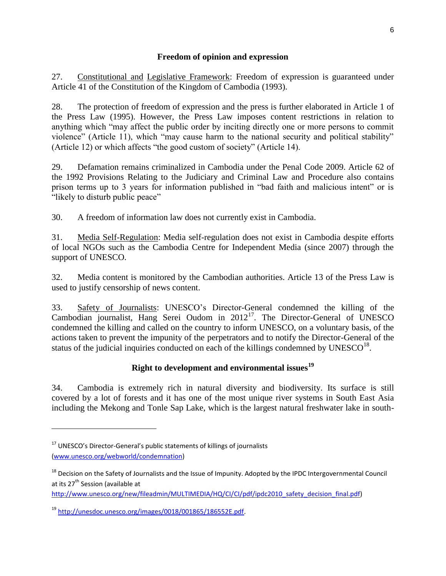## **Freedom of opinion and expression**

27. Constitutional and Legislative Framework: Freedom of expression is guaranteed under Article 41 of the Constitution of the Kingdom of Cambodia (1993).

28. The protection of freedom of expression and the press is further elaborated in Article 1 of the Press Law (1995). However, the Press Law imposes content restrictions in relation to anything which "may affect the public order by inciting directly one or more persons to commit violence" (Article 11), which "may cause harm to the national security and political stability" (Article 12) or which affects "the good custom of society" (Article 14).

29. Defamation remains criminalized in Cambodia under the Penal Code 2009. Article 62 of the 1992 Provisions Relating to the Judiciary and Criminal Law and Procedure also contains prison terms up to 3 years for information published in "bad faith and malicious intent" or is "likely to disturb public peace"

30. A freedom of information law does not currently exist in Cambodia.

31. Media Self-Regulation: Media self-regulation does not exist in Cambodia despite efforts of local NGOs such as the Cambodia Centre for Independent Media (since 2007) through the support of UNESCO.

32. Media content is monitored by the Cambodian authorities. Article 13 of the Press Law is used to justify censorship of news content.

33. Safety of Journalists: UNESCO's Director-General condemned the killing of the Cambodian journalist, Hang Serei Oudom in  $2012^{17}$ . The Director-General of UNESCO condemned the killing and called on the country to inform UNESCO, on a voluntary basis, of the actions taken to prevent the impunity of the perpetrators and to notify the Director-General of the status of the judicial inquiries conducted on each of the killings condemned by  $UNESCO^{18}$ .

# **Right to development and environmental issues<sup>19</sup>**

34. Cambodia is extremely rich in natural diversity and biodiversity. Its surface is still covered by a lot of forests and it has one of the most unique river systems in South East Asia including the Mekong and Tonle Sap Lake, which is the largest natural freshwater lake in south-

 $\overline{\phantom{a}}$ 

[http://www.unesco.org/new/fileadmin/MULTIMEDIA/HQ/CI/CI/pdf/ipdc2010\\_safety\\_decision\\_final.pdf\)](http://www.unesco.org/new/fileadmin/MULTIMEDIA/HQ/CI/CI/pdf/ipdc2010_safety_decision_final.pdf)

<sup>19</sup> [http://unesdoc.unesco.org/images/0018/001865/186552E.pdf.](http://unesdoc.unesco.org/images/0018/001865/186552E.pdf)

<sup>&</sup>lt;sup>17</sup> UNESCO's Director-General's public statements of killings of journalists [\(www.unesco.org/webworld/condemnation\)](http://www.unesco.org/webworld/condemnation)

<sup>&</sup>lt;sup>18</sup> Decision on the Safety of Journalists and the Issue of Impunity. Adopted by the IPDC Intergovernmental Council at its 27<sup>th</sup> Session (available at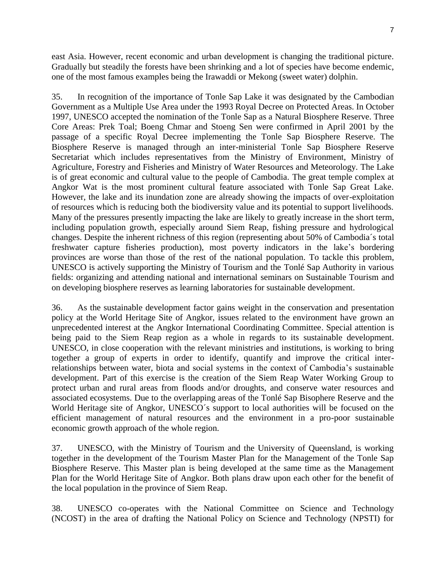east Asia. However, recent economic and urban development is changing the traditional picture. Gradually but steadily the forests have been shrinking and a lot of species have become endemic, one of the most famous examples being the Irawaddi or Mekong (sweet water) dolphin.

35. In recognition of the importance of Tonle Sap Lake it was designated by the Cambodian Government as a Multiple Use Area under the 1993 Royal Decree on Protected Areas. In October 1997, UNESCO accepted the nomination of the Tonle Sap as a Natural Biosphere Reserve. Three Core Areas: Prek Toal; Boeng Chmar and Stoeng Sen were confirmed in April 2001 by the passage of a specific Royal Decree implementing the Tonle Sap Biosphere Reserve. The Biosphere Reserve is managed through an inter-ministerial Tonle Sap Biosphere Reserve Secretariat which includes representatives from the Ministry of Environment, Ministry of Agriculture, Forestry and Fisheries and Ministry of Water Resources and Meteorology. The Lake is of great economic and cultural value to the people of Cambodia. The great temple complex at Angkor Wat is the most prominent cultural feature associated with Tonle Sap Great Lake. However, the lake and its inundation zone are already showing the impacts of over-exploitation of resources which is reducing both the biodiversity value and its potential to support livelihoods. Many of the pressures presently impacting the lake are likely to greatly increase in the short term, including population growth, especially around Siem Reap, fishing pressure and hydrological changes. Despite the inherent richness of this region (representing about 50% of Cambodia´s total freshwater capture fisheries production), most poverty indicators in the lake's bordering provinces are worse than those of the rest of the national population. To tackle this problem, UNESCO is actively supporting the Ministry of Tourism and the Tonlé Sap Authority in various fields: organizing and attending national and international seminars on Sustainable Tourism and on developing biosphere reserves as learning laboratories for sustainable development.

36. As the sustainable development factor gains weight in the conservation and presentation policy at the World Heritage Site of Angkor, issues related to the environment have grown an unprecedented interest at the Angkor International Coordinating Committee. Special attention is being paid to the Siem Reap region as a whole in regards to its sustainable development. UNESCO, in close cooperation with the relevant ministries and institutions, is working to bring together a group of experts in order to identify, quantify and improve the critical interrelationships between water, biota and social systems in the context of Cambodia's sustainable development. Part of this exercise is the creation of the Siem Reap Water Working Group to protect urban and rural areas from floods and/or droughts, and conserve water resources and associated ecosystems. Due to the overlapping areas of the Tonlé Sap Bisophere Reserve and the World Heritage site of Angkor, UNESCO´s support to local authorities will be focused on the efficient management of natural resources and the environment in a pro-poor sustainable economic growth approach of the whole region.

37. UNESCO, with the Ministry of Tourism and the University of Queensland, is working together in the development of the Tourism Master Plan for the Management of the Tonle Sap Biosphere Reserve. This Master plan is being developed at the same time as the Management Plan for the World Heritage Site of Angkor. Both plans draw upon each other for the benefit of the local population in the province of Siem Reap.

38. UNESCO co-operates with the National Committee on Science and Technology (NCOST) in the area of drafting the National Policy on Science and Technology (NPSTI) for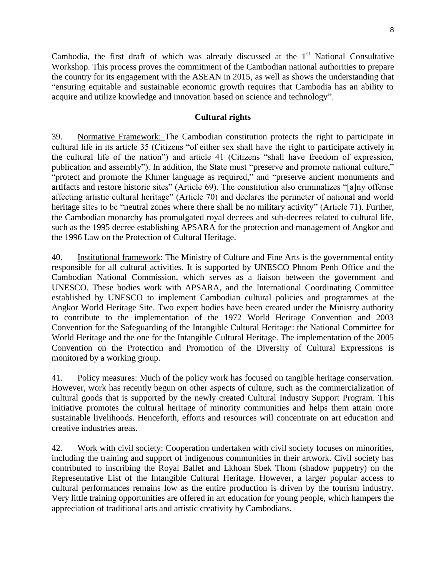Cambodia, the first draft of which was already discussed at the  $1<sup>st</sup>$  National Consultative Workshop. This process proves the commitment of the Cambodian national authorities to prepare the country for its engagement with the ASEAN in 2015, as well as shows the understanding that "ensuring equitable and sustainable economic growth requires that Cambodia has an ability to acquire and utilize knowledge and innovation based on science and technology".

#### **Cultural rights**

39. Normative Framework: The Cambodian constitution protects the right to participate in cultural life in its article 35 (Citizens "of either sex shall have the right to participate actively in the cultural life of the nation") and article 41 (Citizens "shall have freedom of expression, publication and assembly"). In addition, the State must "preserve and promote national culture," "protect and promote the Khmer language as required," and "preserve ancient monuments and artifacts and restore historic sites" (Article 69). The constitution also criminalizes "[a]ny offense affecting artistic cultural heritage" (Article 70) and declares the perimeter of national and world heritage sites to be "neutral zones where there shall be no military activity" (Article 71). Further, the Cambodian monarchy has promulgated royal decrees and sub-decrees related to cultural life, such as the 1995 decree establishing APSARA for the protection and management of Angkor and the 1996 Law on the Protection of Cultural Heritage.

40. Institutional framework: The Ministry of Culture and Fine Arts is the governmental entity responsible for all cultural activities. It is supported by UNESCO Phnom Penh Office and the Cambodian National Commission, which serves as a liaison between the government and UNESCO. These bodies work with APSARA, and the International Coordinating Committee established by UNESCO to implement Cambodian cultural policies and programmes at the Angkor World Heritage Site. Two expert bodies have been created under the Ministry authority to contribute to the implementation of the 1972 World Heritage Convention and 2003 Convention for the Safeguarding of the Intangible Cultural Heritage: the National Committee for World Heritage and the one for the Intangible Cultural Heritage. The implementation of the 2005 Convention on the Protection and Promotion of the Diversity of Cultural Expressions is monitored by a working group.

41. Policy measures: Much of the policy work has focused on tangible heritage conservation. However, work has recently begun on other aspects of culture, such as the commercialization of cultural goods that is supported by the newly created Cultural Industry Support Program. This initiative promotes the cultural heritage of minority communities and helps them attain more sustainable livelihoods. Henceforth, efforts and resources will concentrate on art education and creative industries areas.

42. Work with civil society: Cooperation undertaken with civil society focuses on minorities, including the training and support of indigenous communities in their artwork. Civil society has contributed to inscribing the Royal Ballet and Lkhoan Sbek Thom (shadow puppetry) on the Representative List of the Intangible Cultural Heritage. However, a larger popular access to cultural performances remains low as the entire production is driven by the tourism industry. Very little training opportunities are offered in art education for young people, which hampers the appreciation of traditional arts and artistic creativity by Cambodians.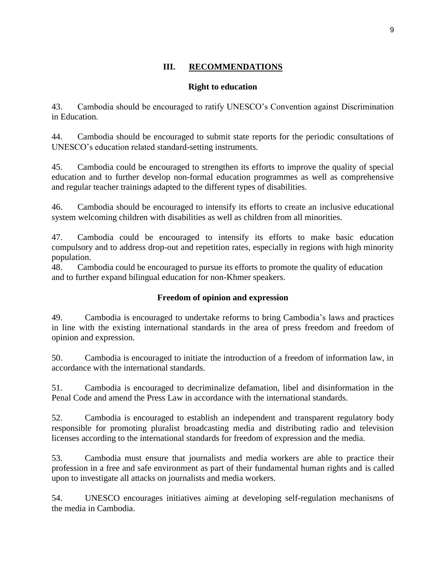# **III. RECOMMENDATIONS**

## **Right to education**

43. Cambodia should be encouraged to ratify UNESCO's Convention against Discrimination in Education.

44. Cambodia should be encouraged to submit state reports for the periodic consultations of UNESCO's education related standard-setting instruments.

45. Cambodia could be encouraged to strengthen its efforts to improve the quality of special education and to further develop non-formal education programmes as well as comprehensive and regular teacher trainings adapted to the different types of disabilities.

46. Cambodia should be encouraged to intensify its efforts to create an inclusive educational system welcoming children with disabilities as well as children from all minorities.

47. Cambodia could be encouraged to intensify its efforts to make basic education compulsory and to address drop-out and repetition rates, especially in regions with high minority population.

48. Cambodia could be encouraged to pursue its efforts to promote the quality of education and to further expand bilingual education for non-Khmer speakers.

## **Freedom of opinion and expression**

49. Cambodia is encouraged to undertake reforms to bring Cambodia's laws and practices in line with the existing international standards in the area of press freedom and freedom of opinion and expression.

50. Cambodia is encouraged to initiate the introduction of a freedom of information law, in accordance with the international standards.

51. Cambodia is encouraged to decriminalize defamation, libel and disinformation in the Penal Code and amend the Press Law in accordance with the international standards.

52. Cambodia is encouraged to establish an independent and transparent regulatory body responsible for promoting pluralist broadcasting media and distributing radio and television licenses according to the international standards for freedom of expression and the media.

53. Cambodia must ensure that journalists and media workers are able to practice their profession in a free and safe environment as part of their fundamental human rights and is called upon to investigate all attacks on journalists and media workers.

54. UNESCO encourages initiatives aiming at developing self-regulation mechanisms of the media in Cambodia.